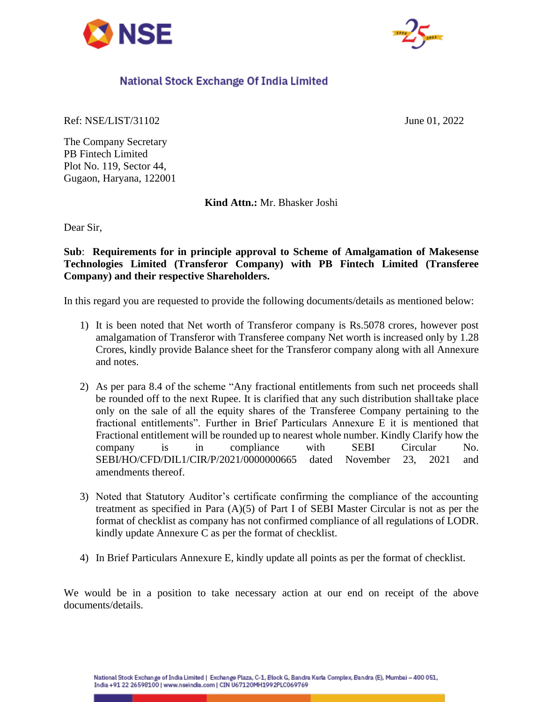



## National Stock Exchange Of India Limited

Ref: NSE/LIST/31102 June 01, 2022

The Company Secretary PB Fintech Limited Plot No. 119, Sector 44, Gugaon, Haryana, 122001

**Kind Attn.:** Mr. Bhasker Joshi

Dear Sir,

**Sub**: **Requirements for in principle approval to Scheme of Amalgamation of Makesense Technologies Limited (Transferor Company) with PB Fintech Limited (Transferee Company) and their respective Shareholders.**

In this regard you are requested to provide the following documents/details as mentioned below:

- 1) It is been noted that Net worth of Transferor company is Rs.5078 crores, however post amalgamation of Transferor with Transferee company Net worth is increased only by 1.28 Crores, kindly provide Balance sheet for the Transferor company along with all Annexure and notes.
- 2) As per para 8.4 of the scheme "Any fractional entitlements from such net proceeds shall be rounded off to the next Rupee. It is clarified that any such distribution shalltake place only on the sale of all the equity shares of the Transferee Company pertaining to the fractional entitlements". Further in Brief Particulars Annexure E it is mentioned that Fractional entitlement will be rounded up to nearest whole number. Kindly Clarify how the company is in compliance with SEBI Circular No. SEBI/HO/CFD/DIL1/CIR/P/2021/0000000665 dated November 23, 2021 and amendments thereof.
- 3) Noted that Statutory Auditor's certificate confirming the compliance of the accounting treatment as specified in Para (A)(5) of Part I of SEBI Master Circular is not as per the format of checklist as company has not confirmed compliance of all regulations of LODR. kindly update Annexure C as per the format of checklist.
- 4) In Brief Particulars Annexure E, kindly update all points as per the format of checklist.

We would be in a position to take necessary action at our end on receipt of the above documents/details.